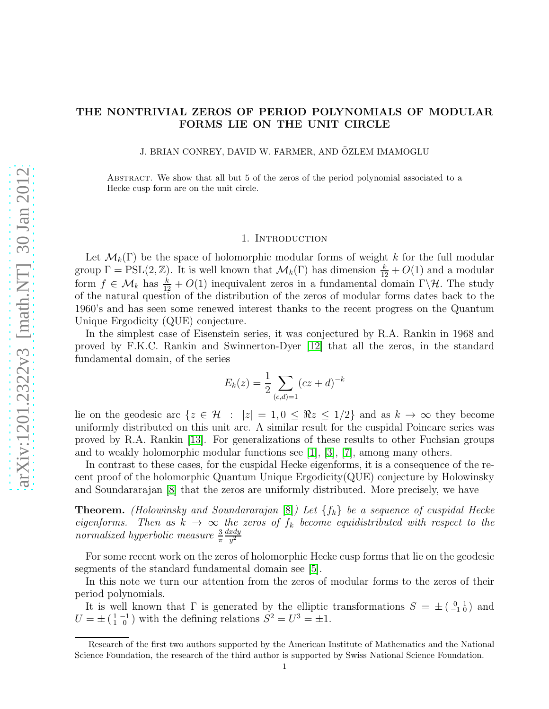## THE NONTRIVIAL ZEROS OF PERIOD POLYNOMIALS OF MODULAR FORMS LIE ON THE UNIT CIRCLE

J. BRIAN CONREY, DAVID W. FARMER, AND ÖZLEM IMAMOGLU

Abstract. We show that all but 5 of the zeros of the period polynomial associated to a Hecke cusp form are on the unit circle.

## 1. Introduction

Let  $\mathcal{M}_k(\Gamma)$  be the space of holomorphic modular forms of weight k for the full modular group  $\Gamma = \text{PSL}(2, \mathbb{Z})$ . It is well known that  $\mathcal{M}_k(\Gamma)$  has dimension  $\frac{k}{12} + O(1)$  and a modular form  $f \in \mathcal{M}_k$  has  $\frac{k}{12} + O(1)$  inequivalent zeros in a fundamental domain  $\Gamma \backslash \mathcal{H}$ . The study of the natural question of the distribution of the zeros of modular forms dates back to the 1960's and has seen some renewed interest thanks to the recent progress on the Quantum Unique Ergodicity (QUE) conjecture.

In the simplest case of Eisenstein series, it was conjectured by R.A. Rankin in 1968 and proved by F.K.C. Rankin and Swinnerton-Dyer [\[12\]](#page-9-0) that all the zeros, in the standard fundamental domain, of the series

$$
E_k(z) = \frac{1}{2} \sum_{(c,d)=1} (cz+d)^{-k}
$$

lie on the geodesic arc  $\{z \in \mathcal{H} : |z| = 1, 0 \leq \Re z \leq 1/2\}$  and as  $k \to \infty$  they become uniformly distributed on this unit arc. A similar result for the cuspidal Poincare series was proved by R.A. Rankin [\[13\]](#page-9-1). For generalizations of these results to other Fuchsian groups and to weakly holomorphic modular functions see [\[1\]](#page-8-0), [\[3\]](#page-8-1), [\[7\]](#page-8-2), among many others.

In contrast to these cases, for the cuspidal Hecke eigenforms, it is a consequence of the recent proof of the holomorphic Quantum Unique Ergodicity(QUE) conjecture by Holowinsky and Soundararajan [\[8\]](#page-8-3) that the zeros are uniformly distributed. More precisely, we have

**Theorem.** (Holowinsky and Soundararajan [\[8\]](#page-8-3)) Let  $\{f_k\}$  be a sequence of cuspidal Hecke eigenforms. Then as  $k \to \infty$  the zeros of  $f_k$  become equidistributed with respect to the normalized hyperbolic measure  $\frac{3}{\pi}$  $dx dy$  $y^2$ 

For some recent work on the zeros of holomorphic Hecke cusp forms that lie on the geodesic segments of the standard fundamental domain see [\[5\]](#page-8-4).

In this note we turn our attention from the zeros of modular forms to the zeros of their period polynomials.

It is well known that  $\Gamma$  is generated by the elliptic transformations  $S = \pm \begin{pmatrix} 0 & 1 \\ -1 & 0 \end{pmatrix}$  and  $U = \pm \begin{pmatrix} 1 & -1 \\ 1 & 0 \end{pmatrix}$  with the defining relations  $S^2 = U^3 = \pm 1$ .

Research of the first two authors supported by the American Institute of Mathematics and the National Science Foundation, the research of the third author is supported by Swiss National Science Foundation.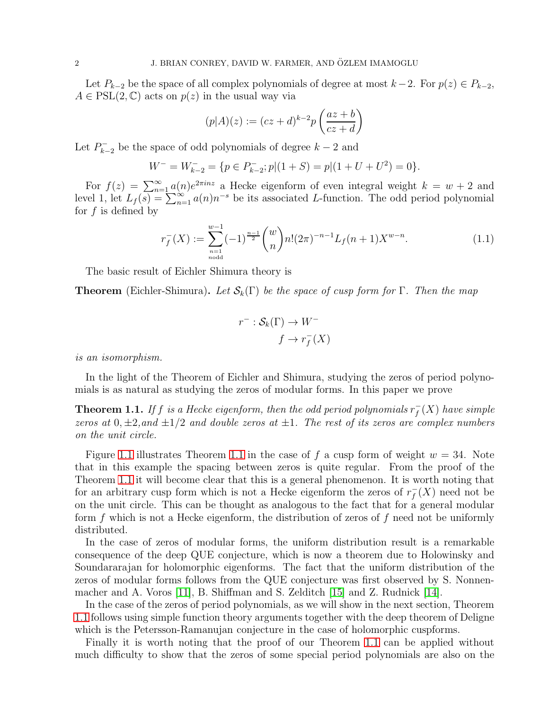Let  $P_{k-2}$  be the space of all complex polynomials of degree at most  $k-2$ . For  $p(z) \in P_{k-2}$ ,  $A \in \text{PSL}(2, \mathbb{C})$  acts on  $p(z)$  in the usual way via

$$
(p|A)(z) := (cz+d)^{k-2}p\left(\frac{az+b}{cz+d}\right)
$$

Let  $P_{k-}^ \sum_{k=2}^{\infty}$  be the space of odd polynomials of degree  $k-2$  and

$$
W^- = W_{k-2}^- = \{ p \in P_{k-2}^-; p | (1 + S) = p | (1 + U + U^2) = 0 \}.
$$

For  $f(z) = \sum_{n=1}^{\infty} a(n)e^{2\pi inz}$  a Hecke eigenform of even integral weight  $k = w + 2$  and level 1, let  $L_f(s) = \sum_{n=1}^{\infty} a(n) n^{-s}$  be its associated L-function. The odd period polynomial for  $f$  is defined by

$$
r_f^{-}(X) := \sum_{\substack{n=1 \ n \text{odd}}}^{w-1} (-1)^{\frac{n-1}{2}} {w \choose n} n! (2\pi)^{-n-1} L_f(n+1) X^{w-n}.
$$
 (1.1)

The basic result of Eichler Shimura theory is

**Theorem** (Eichler-Shimura). Let  $\mathcal{S}_k(\Gamma)$  be the space of cusp form for  $\Gamma$ . Then the map

$$
r^- : \mathcal{S}_k(\Gamma) \to W^-
$$

$$
f \to r_f^-(X)
$$

is an isomorphism.

In the light of the Theorem of Eichler and Shimura, studying the zeros of period polynomials is as natural as studying the zeros of modular forms. In this paper we prove

<span id="page-1-0"></span>**Theorem 1.1.** If f is a Hecke eigenform, then the odd period polynomials  $r_f^$  $f\overline{f}(X)$  have simple zeros at  $0, \pm 2$ , and  $\pm 1/2$  and double zeros at  $\pm 1$ . The rest of its zeros are complex numbers on the unit circle.

Figure [1.1](#page-1-0) illustrates Theorem 1.1 in the case of f a cusp form of weight  $w = 34$ . Note that in this example the spacing between zeros is quite regular. From the proof of the Theorem [1.1](#page-1-0) it will become clear that this is a general phenomenon. It is worth noting that for an arbitrary cusp form which is not a Hecke eigenform the zeros of  $r_f^ _f^-(X)$  need not be on the unit circle. This can be thought as analogous to the fact that for a general modular form  $f$  which is not a Hecke eigenform, the distribution of zeros of  $f$  need not be uniformly distributed.

In the case of zeros of modular forms, the uniform distribution result is a remarkable consequence of the deep QUE conjecture, which is now a theorem due to Holowinsky and Soundararajan for holomorphic eigenforms. The fact that the uniform distribution of the zeros of modular forms follows from the QUE conjecture was first observed by S. Nonnenmacher and A. Voros [\[11\]](#page-9-2), B. Shiffman and S. Zelditch [\[15\]](#page-9-3) and Z. Rudnick [\[14\]](#page-9-4).

In the case of the zeros of period polynomials, as we will show in the next section, Theorem [1.1](#page-1-0) follows using simple function theory arguments together with the deep theorem of Deligne which is the Petersson-Ramanujan conjecture in the case of holomorphic cuspforms.

Finally it is worth noting that the proof of our Theorem [1.1](#page-1-0) can be applied without much difficulty to show that the zeros of some special period polynomials are also on the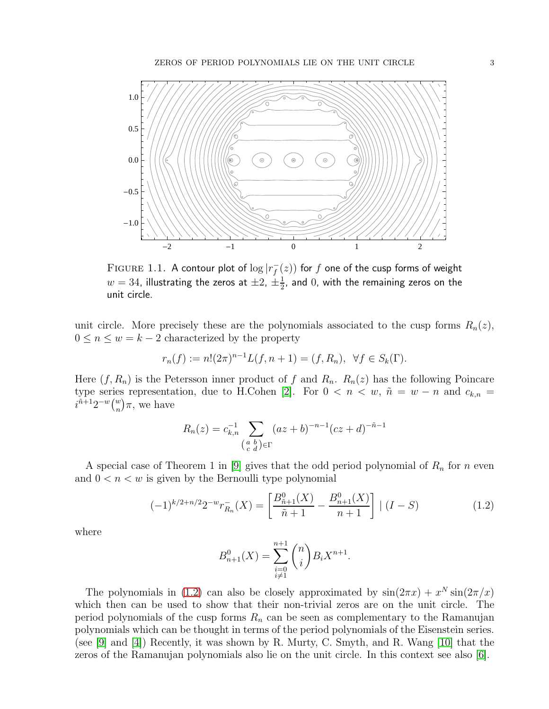

<span id="page-2-0"></span>FIGURE 1.1. A contour plot of  $\log |r_f^{-1}|$  $f^-(z))$  for  $f$  one of the cusp forms of weight  $w=34$ , illustrating the zeros at  $\pm 2$ ,  $\pm \frac{1}{2}$  $\frac{1}{2}$ , and  $0$ , with the remaining zeros on the unit circle.

unit circle. More precisely these are the polynomials associated to the cusp forms  $R_n(z)$ ,  $0 \leq n \leq w = k - 2$  characterized by the property

$$
r_n(f) := n!(2\pi)^{n-1}L(f, n+1) = (f, R_n), \ \forall f \in S_k(\Gamma).
$$

Here  $(f, R_n)$  is the Petersson inner product of f and  $R_n$ .  $R_n(z)$  has the following Poincare type series representation, due to H.Cohen [\[2\]](#page-8-5). For  $0 < n < w$ ,  $\tilde{n} = w - n$  and  $c_{k,n} =$  $i^{\tilde{n}+1}2^{-w}\binom{w}{n}\pi$ , we have

$$
R_n(z) = c_{k,n}^{-1} \sum_{\substack{a,b \ (a \ b \ c \ d}} (az + b)^{-n-1} (cz + d)^{-n-1}
$$

A special case of Theorem 1 in [\[9\]](#page-8-6) gives that the odd period polynomial of  $R_n$  for n even and  $0 < n < w$  is given by the Bernoulli type polynomial

<span id="page-2-1"></span>
$$
(-1)^{k/2+n/2}2^{-w}r_{R_n}^{-}(X) = \left[\frac{B_{\tilde{n}+1}^0(X)}{\tilde{n}+1} - \frac{B_{n+1}^0(X)}{n+1}\right] | (I-S)
$$
\n(1.2)

where

$$
B_{n+1}^0(X) = \sum_{\substack{i=0 \ i \neq 1}}^{n+1} \binom{n}{i} B_i X^{n+1}.
$$

The polynomials in [\(1.2\)](#page-2-1) can also be closely approximated by  $sin(2\pi x) + x^N sin(2\pi/x)$ which then can be used to show that their non-trivial zeros are on the unit circle. The period polynomials of the cusp forms  $R_n$  can be seen as complementary to the Ramanujan polynomials which can be thought in terms of the period polynomials of the Eisenstein series. (see [\[9\]](#page-8-6) and [\[4\]](#page-8-7)) Recently, it was shown by R. Murty, C. Smyth, and R. Wang [\[10\]](#page-8-8) that the zeros of the Ramanujan polynomials also lie on the unit circle. In this context see also [\[6\]](#page-8-9).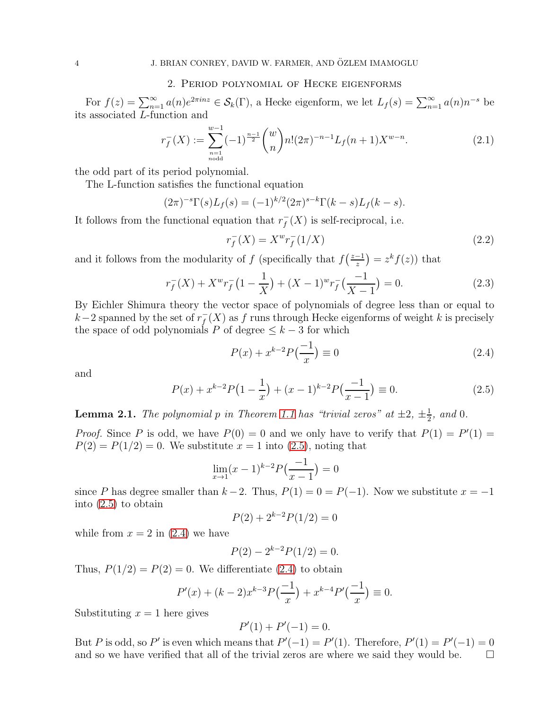## 2. Period polynomial of Hecke eigenforms

For  $f(z) = \sum_{n=1}^{\infty} a(n)e^{2\pi inz} \in \mathcal{S}_k(\Gamma)$ , a Hecke eigenform, we let  $L_f(s) = \sum_{n=1}^{\infty} a(n)n^{-s}$  be its associated L-function and

$$
r_f^{-}(X) := \sum_{\substack{n=1 \ n \text{odd}}}^{w-1} (-1)^{\frac{n-1}{2}} {w \choose n} n! (2\pi)^{-n-1} L_f(n+1) X^{w-n}.
$$
 (2.1)

the odd part of its period polynomial.

The L-function satisfies the functional equation

$$
(2\pi)^{-s}\Gamma(s)L_f(s) = (-1)^{k/2}(2\pi)^{s-k}\Gamma(k-s)L_f(k-s).
$$

It follows from the functional equation that  $r_f^$  $f(X)$  is self-reciprocal, i.e.

<span id="page-3-2"></span>
$$
r_f^-(X) = X^w r_f^-(1/X) \tag{2.2}
$$

and it follows from the modularity of f (specifically that  $f\left(\frac{z-1}{z}\right)$  $\frac{-1}{z}$  =  $z^k f(z)$  that

$$
r_f^-(X) + X^w r_f^-(1 - \frac{1}{X}) + (X - 1)^w r_f^-(\frac{-1}{X - 1}) = 0.
$$
 (2.3)

By Eichler Shimura theory the vector space of polynomials of degree less than or equal to  $k-2$  spanned by the set of  $r_f^$  $f^-(X)$  as  $f$  runs through Hecke eigenforms of weight  $k$  is precisely the space of odd polynomials P of degree  $\leq k-3$  for which

<span id="page-3-1"></span>
$$
P(x) + x^{k-2}P(\frac{-1}{x}) \equiv 0
$$
\n(2.4)

and

<span id="page-3-0"></span>
$$
P(x) + x^{k-2}P(1 - \frac{1}{x}) + (x - 1)^{k-2}P(\frac{-1}{x - 1}) \equiv 0.
$$
 (2.5)

**Lemma 2.1.** The polynomial p in Theorem [1.1](#page-1-0) has "trivial zeros" at  $\pm 2$ ,  $\pm \frac{1}{2}$  $\frac{1}{2}$ , and 0.

*Proof.* Since P is odd, we have  $P(0) = 0$  and we only have to verify that  $P(1) = P'(1) =$  $P(2) = P(1/2) = 0$ . We substitute  $x = 1$  into  $(2.5)$ , noting that

$$
\lim_{x \to 1} (x-1)^{k-2} P\left(\frac{-1}{x-1}\right) = 0
$$

since P has degree smaller than  $k-2$ . Thus,  $P(1) = 0 = P(-1)$ . Now we substitute  $x = -1$ into [\(2.5\)](#page-3-0) to obtain

$$
P(2) + 2^{k-2}P(1/2) = 0
$$

while from  $x = 2$  in  $(2.4)$  we have

$$
P(2) - 2^{k-2}P(1/2) = 0.
$$

Thus,  $P(1/2) = P(2) = 0$ . We differentiate [\(2.4\)](#page-3-1) to obtain

$$
P'(x) + (k-2)x^{k-3}P\left(\frac{-1}{x}\right) + x^{k-4}P'\left(\frac{-1}{x}\right) \equiv 0.
$$

Substituting  $x = 1$  here gives

$$
P'(1) + P'(-1) = 0.
$$

But P is odd, so P' is even which means that  $P'(-1) = P'(1)$ . Therefore,  $P'(1) = P'(-1) = 0$ and so we have verified that all of the trivial zeros are where we said they would be.  $\Box$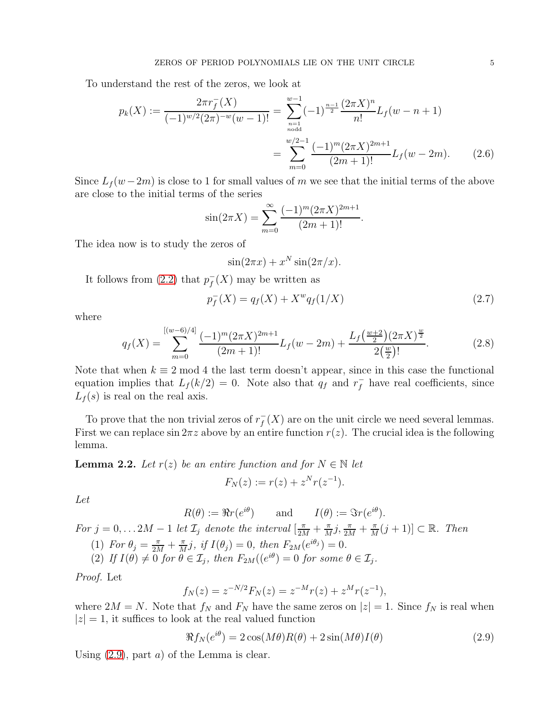To understand the rest of the zeros, we look at

$$
p_k(X) := \frac{2\pi r_f^{-}(X)}{(-1)^{w/2}(2\pi)^{-w}(w-1)!} = \sum_{\substack{n=1 \ n \text{ odd}}}^{w-1} (-1)^{\frac{n-1}{2}} \frac{(2\pi X)^n}{n!} L_f(w-n+1)
$$

$$
= \sum_{m=0}^{w/2-1} \frac{(-1)^m (2\pi X)^{2m+1}}{(2m+1)!} L_f(w-2m). \tag{2.6}
$$

Since  $L_f(w-2m)$  is close to 1 for small values of m we see that the initial terms of the above are close to the initial terms of the series

$$
\sin(2\pi X) = \sum_{m=0}^{\infty} \frac{(-1)^m (2\pi X)^{2m+1}}{(2m+1)!}.
$$

The idea now is to study the zeros of

$$
\sin(2\pi x) + x^N \sin(2\pi/x).
$$

It follows from [\(2.2\)](#page-3-2) that  $p_f^$  $f(X)$  may be written as

<span id="page-4-2"></span>
$$
p_f^-(X) = q_f(X) + X^w q_f(1/X)
$$
\n(2.7)

where

<span id="page-4-1"></span>
$$
q_f(X) = \sum_{m=0}^{\left[ (w-6)/4 \right]} \frac{(-1)^m (2\pi X)^{2m+1}}{(2m+1)!} L_f(w-2m) + \frac{L_f(\frac{w+2}{2}) (2\pi X)^{\frac{w}{2}}}{2(\frac{w}{2})!}.
$$
 (2.8)

Note that when  $k \equiv 2 \mod 4$  the last term doesn't appear, since in this case the functional equation implies that  $L_f(k/2) = 0$ . Note also that  $q_f$  and  $r_f^-$  have real coefficients, since  $L_f(s)$  is real on the real axis.

To prove that the non trivial zeros of  $r_f^$  $f(X)$  are on the unit circle we need several lemmas. First we can replace  $\sin 2\pi z$  above by an entire function  $r(z)$ . The crucial idea is the following lemma.

<span id="page-4-3"></span>**Lemma 2.2.** Let  $r(z)$  be an entire function and for  $N \in \mathbb{N}$  let

$$
F_N(z) := r(z) + z^N r(z^{-1}).
$$

Let

$$
R(\theta) := \Re r(e^{i\theta})
$$
 and  $I(\theta) := \Im r(e^{i\theta}).$ 

For  $j = 0, \ldots 2M - 1$  let  $\mathcal{I}_j$  denote the interval  $\left[\frac{\pi}{2M} + \frac{\pi}{M}\right]$  $\frac{\pi}{M}j$ ,  $\frac{\pi}{2M} + \frac{\pi}{M}$  $\frac{\pi}{M}(j+1)] \subset \mathbb{R}$ . Then

(1) For  $\theta_j = \frac{\pi}{2M} + \frac{\pi}{M}$  $\frac{\pi}{M}j$ , if  $I(\theta_j) = 0$ , then  $F_{2M}(e^{i\theta_j}) = 0$ .

(2) If 
$$
I(\theta) \neq 0
$$
 for  $\theta \in \mathcal{I}_j$ , then  $F_{2M}((e^{i\theta}) = 0$  for some  $\theta \in \mathcal{I}_j$ .

Proof. Let

$$
f_N(z) = z^{-N/2} F_N(z) = z^{-M} r(z) + z^M r(z^{-1}),
$$

where  $2M = N$ . Note that  $f_N$  and  $F_N$  have the same zeros on  $|z| = 1$ . Since  $f_N$  is real when  $|z| = 1$ , it suffices to look at the real valued function

<span id="page-4-0"></span>
$$
\Re f_N(e^{i\theta}) = 2\cos(M\theta)R(\theta) + 2\sin(M\theta)I(\theta)
$$
\n(2.9)

Using  $(2.9)$  $(2.9)$ , part a) of the Lemma is clear.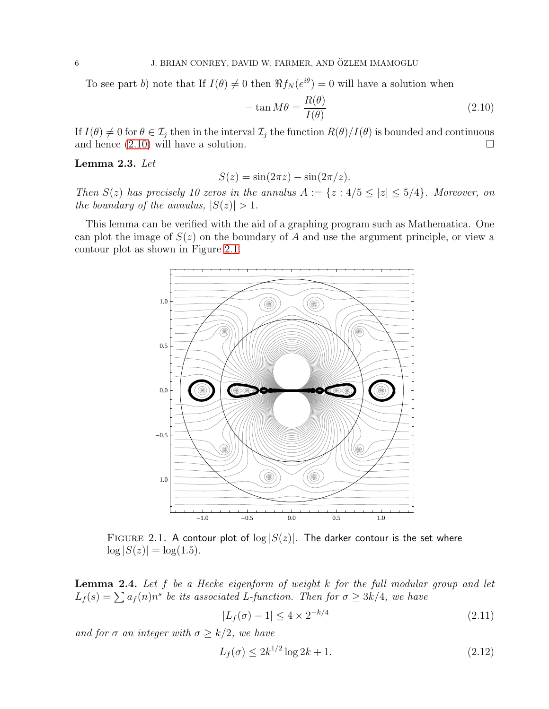To see part b) note that If  $I(\theta) \neq 0$  then  $\Re f_N(e^{i\theta}) = 0$  will have a solution when

<span id="page-5-0"></span>
$$
-\tan M\theta = \frac{R(\theta)}{I(\theta)}
$$
\n(2.10)

If  $I(\theta) \neq 0$  for  $\theta \in \mathcal{I}_j$  then in the interval  $\mathcal{I}_j$  the function  $R(\theta)/I(\theta)$  is bounded and continuous and hence (2.10) will have a solution. and hence (2.[10\)](#page-5-0) will have a solution.

<span id="page-5-4"></span>Lemma 2.3. Let

$$
S(z) = \sin(2\pi z) - \sin(2\pi/z).
$$

Then  $S(z)$  has precisely 10 zeros in the annulus  $A := \{z : 4/5 \le |z| \le 5/4\}$ . Moreover, on the boundary of the annulus,  $|S(z)| > 1$ .

This lemma can be verified with the aid of a graphing program such as Mathematica. One can plot the image of  $S(z)$  on the boundary of A and use the argument principle, or view a contour plot as shown in Figure [2.1.](#page-5-1)



<span id="page-5-1"></span>FIGURE 2.1. A contour plot of  $log |S(z)|$ . The darker contour is the set where  $\log |S(z)| = \log(1.5)$ .

<span id="page-5-3"></span>**Lemma 2.4.** Let  $f$  be a Hecke eigenform of weight  $k$  for the full modular group and let  $L_f(s) = \sum a_f(n)n^s$  be its associated L-function. Then for  $\sigma \geq 3k/4$ , we have

<span id="page-5-2"></span>
$$
|L_f(\sigma) - 1| \le 4 \times 2^{-k/4} \tag{2.11}
$$

and for  $\sigma$  an integer with  $\sigma \geq k/2$ , we have

$$
L_f(\sigma) \le 2k^{1/2} \log 2k + 1. \tag{2.12}
$$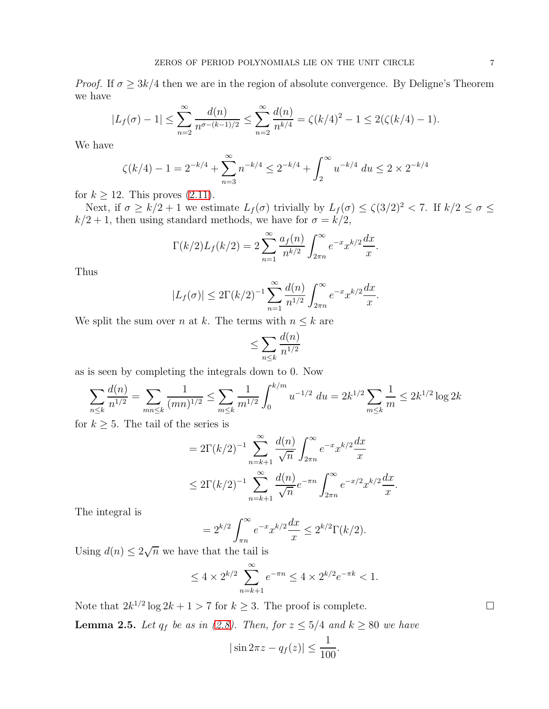*Proof.* If  $\sigma \geq 3k/4$  then we are in the region of absolute convergence. By Deligne's Theorem we have

$$
|L_f(\sigma) - 1| \le \sum_{n=2}^{\infty} \frac{d(n)}{n^{\sigma - (k-1)/2}} \le \sum_{n=2}^{\infty} \frac{d(n)}{n^{k/4}} = \zeta (k/4)^2 - 1 \le 2(\zeta (k/4) - 1).
$$

We have

$$
\zeta(k/4) - 1 = 2^{-k/4} + \sum_{n=3}^{\infty} n^{-k/4} \le 2^{-k/4} + \int_{2}^{\infty} u^{-k/4} du \le 2 \times 2^{-k/4}
$$

for  $k \geq 12$ . This proves  $(2.11)$ .

Next, if  $\sigma \ge k/2 + 1$  we estimate  $L_f(\sigma)$  trivially by  $L_f(\sigma) \le \zeta(3/2)^2 < 7$ . If  $k/2 \le \sigma \le$  $k/2 + 1$ , then using standard methods, we have for  $\sigma = k/2$ ,

$$
\Gamma(k/2)L_f(k/2) = 2\sum_{n=1}^{\infty} \frac{a_f(n)}{n^{k/2}} \int_{2\pi n}^{\infty} e^{-x} x^{k/2} \frac{dx}{x}.
$$

Thus

$$
|L_f(\sigma)| \le 2\Gamma(k/2)^{-1} \sum_{n=1}^{\infty} \frac{d(n)}{n^{1/2}} \int_{2\pi n}^{\infty} e^{-x} x^{k/2} \frac{dx}{x}.
$$

We split the sum over n at k. The terms with  $n \leq k$  are

$$
\leq \sum_{n\leq k} \frac{d(n)}{n^{1/2}}
$$

as is seen by completing the integrals down to 0. Now

$$
\sum_{n\leq k} \frac{d(n)}{n^{1/2}} = \sum_{mn\leq k} \frac{1}{(mn)^{1/2}} \leq \sum_{m\leq k} \frac{1}{m^{1/2}} \int_0^{k/m} u^{-1/2} du = 2k^{1/2} \sum_{m\leq k} \frac{1}{m} \leq 2k^{1/2} \log 2k
$$

for  $k \geq 5$ . The tail of the series is

$$
= 2\Gamma(k/2)^{-1} \sum_{n=k+1}^{\infty} \frac{d(n)}{\sqrt{n}} \int_{2\pi n}^{\infty} e^{-x} x^{k/2} \frac{dx}{x}
$$
  

$$
\leq 2\Gamma(k/2)^{-1} \sum_{n=k+1}^{\infty} \frac{d(n)}{\sqrt{n}} e^{-\pi n} \int_{2\pi n}^{\infty} e^{-x/2} x^{k/2} \frac{dx}{x}.
$$

The integral is

$$
= 2^{k/2} \int_{\pi n}^{\infty} e^{-x} x^{k/2} \frac{dx}{x} \le 2^{k/2} \Gamma(k/2).
$$

Using  $d(n) \leq 2\sqrt{n}$  we have that the tail is

$$
\leq 4 \times 2^{k/2} \sum_{n=k+1}^{\infty} e^{-\pi n} \leq 4 \times 2^{k/2} e^{-\pi k} < 1.
$$

Note that  $2k^{1/2}\log 2k + 1 > 7$  for  $k \ge 3$ . The proof is complete.

<span id="page-6-0"></span>**Lemma 2.5.** Let  $q_f$  be as in [\(2.8\)](#page-4-1). Then, for  $z \leq 5/4$  and  $k \geq 80$  we have

$$
|\sin 2\pi z - q_f(z)| \le \frac{1}{100}.
$$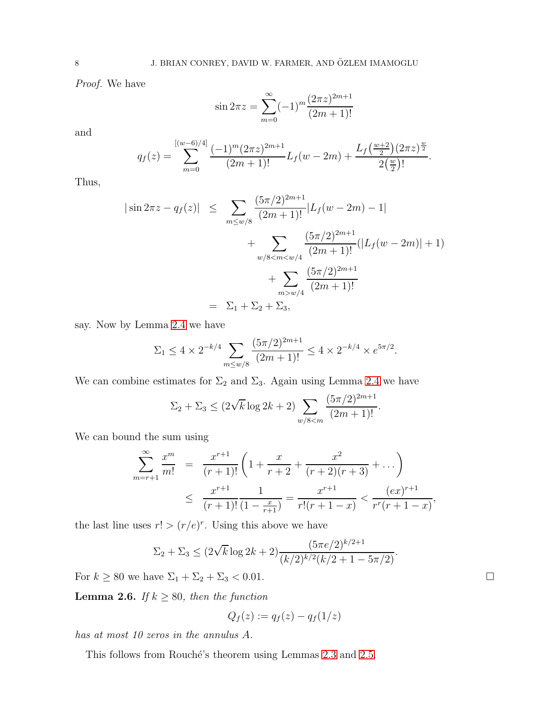Proof. We have

$$
\sin 2\pi z = \sum_{m=0}^{\infty} (-1)^m \frac{(2\pi z)^{2m+1}}{(2m+1)!}
$$

and

$$
q_f(z) = \sum_{m=0}^{[(w-6)/4]} \frac{(-1)^m (2\pi z)^{2m+1}}{(2m+1)!} L_f(w-2m) + \frac{L_f(\frac{w+2}{2})(2\pi z)^{\frac{w}{2}}}{2(\frac{w}{2})!}.
$$

Thus,

$$
|\sin 2\pi z - q_f(z)| \leq \sum_{m \leq w/8} \frac{(5\pi/2)^{2m+1}}{(2m+1)!} |L_f(w - 2m) - 1| + \sum_{w/8 < m < w/4} \frac{(5\pi/2)^{2m+1}}{(2m+1)!} (|L_f(w - 2m)| + 1) + \sum_{m > w/4} \frac{(5\pi/2)^{2m+1}}{(2m+1)!}
$$
\n
$$
= \sum_{1} \sum_{1} \sum_{2} \sum_{3} \sum_{3}
$$

say. Now by Lemma [2.4](#page-5-3) we have

$$
\Sigma_1 \le 4 \times 2^{-k/4} \sum_{m \le w/8} \frac{(5\pi/2)^{2m+1}}{(2m+1)!} \le 4 \times 2^{-k/4} \times e^{5\pi/2}.
$$

We can combine estimates for  $\Sigma_2$  and  $\Sigma_3$ . Again using Lemma [2.4](#page-5-3) we have

$$
\Sigma_2 + \Sigma_3 \le (2\sqrt{k} \log 2k + 2) \sum_{w/8 \le m} \frac{(5\pi/2)^{2m+1}}{(2m+1)!}.
$$

We can bound the sum using

$$
\sum_{m=r+1}^{\infty} \frac{x^m}{m!} = \frac{x^{r+1}}{(r+1)!} \left( 1 + \frac{x}{r+2} + \frac{x^2}{(r+2)(r+3)} + \dots \right)
$$
  

$$
\leq \frac{x^{r+1}}{(r+1)!} \frac{1}{(1 - \frac{x}{r+1})} = \frac{x^{r+1}}{r!(r+1-x)} < \frac{(ex)^{r+1}}{r^r(r+1-x)},
$$

the last line uses  $r! > (r/e)^r$ . Using this above we have

$$
\Sigma_2 + \Sigma_3 \le (2\sqrt{k} \log 2k + 2) \frac{(5\pi e/2)^{k/2+1}}{(k/2)^{k/2}(k/2 + 1 - 5\pi/2)}.
$$

For  $k \ge 80$  we have  $\Sigma_1 + \Sigma_2 + \Sigma_3 < 0.01$ .

**Lemma 2.6.** If  $k \ge 80$ , then the function

$$
Q_f(z) := q_f(z) - q_f(1/z)
$$

has at most 10 zeros in the annulus A.

This follows from Rouché's theorem using Lemmas [2.3](#page-5-4) and [2.5.](#page-6-0)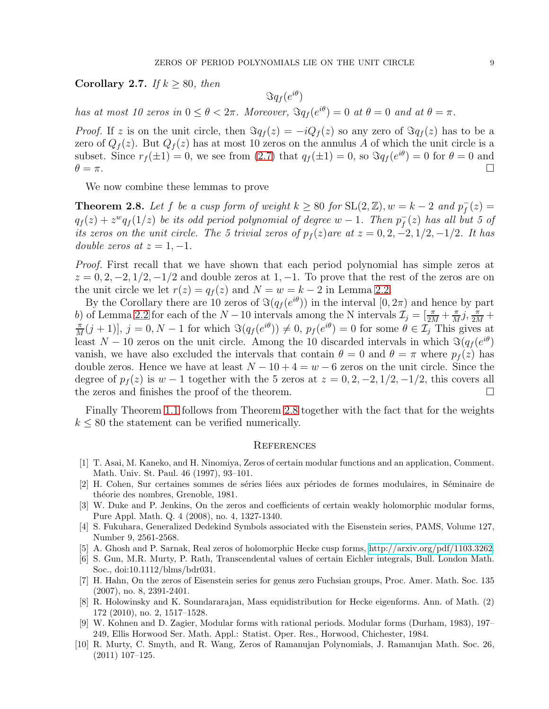Corollary 2.7. If  $k \ge 80$ , then

 $\Im q_f(e^{i\theta})$ 

has at most 10 zeros in  $0 \le \theta < 2\pi$ . Moreover,  $\Im q_f(e^{i\theta}) = 0$  at  $\theta = 0$  and at  $\theta = \pi$ .

*Proof.* If z is on the unit circle, then  $\Im q_f(z) = -iQ_f(z)$  so any zero of  $\Im q_f(z)$  has to be a zero of  $Q_f(z)$ . But  $Q_f(z)$  has at most 10 zeros on the annulus A of which the unit circle is a subset. Since  $r_f(\pm 1) = 0$ , we see from  $(2.7)$  that  $q_f(\pm 1) = 0$ , so  $\Im q_f(e^{i\theta}) = 0$  for  $\theta = 0$  and  $\theta = \pi$ .

We now combine these lemmas to prove

<span id="page-8-10"></span>**Theorem 2.8.** Let f be a cusp form of weight  $k \ge 80$  for  $SL(2, \mathbb{Z})$ ,  $w = k - 2$  and  $p_f^$  $f^-(z) =$  $q_f(z) + z^w q_f(1/z)$  be its odd period polynomial of degree  $w - 1$ . Then  $p_f^ \bar{f}_f(z)$  has all but 5 of its zeros on the unit circle. The 5 trivial zeros of  $p_f(z)$  are at  $z = 0, 2, -2, 1/2, -1/2$ . It has double zeros at  $z = 1, -1$ .

Proof. First recall that we have shown that each period polynomial has simple zeros at  $z = 0, 2, -2, 1/2, -1/2$  and double zeros at 1, -1. To prove that the rest of the zeros are on the unit circle we let  $r(z) = q_f(z)$  and  $N = w = k - 2$  in Lemma [2.2.](#page-4-3)

By the Corollary there are 10 zeros of  $\Im(q_f(e^{i\theta}))$  in the interval  $[0, 2\pi)$  and hence by part b) of Lemma [2.2](#page-4-3) for each of the  $N-10$  intervals among the N intervals  $\mathcal{I}_j = \left[\frac{\pi}{2M} + \frac{\pi}{M}\right]$ b) of Lemma 2.2 for each of the  $N-10$  intervals among the N intervals  $\mathcal{I}_j = \left[\frac{\pi}{2M} + \frac{\pi}{M}j, \frac{\pi}{2M} + \frac{\pi}{2M}(j+1)\right]$   $j = 0, N-1$  for which  $\Im(a_j(e^{i\theta})) \neq 0, p_j(e^{i\theta}) = 0$  for some  $\theta \in \mathcal{I}$ . This gives at  $\frac{\pi}{M}(j+1)$ ,  $j=0, N-1$  for which  $\Im(q_f(e^{i\theta})) \neq 0$ ,  $p_f(e^{i\theta})=0$  for some  $\theta \in \mathcal{I}_j$  This gives at least  $N-10$  zeros on the unit circle. Among the 10 discarded intervals in which  $\Im(q_f(e^{i\theta}))$ vanish, we have also excluded the intervals that contain  $\theta = 0$  and  $\theta = \pi$  where  $p_f(z)$  has double zeros. Hence we have at least  $N - 10 + 4 = w - 6$  zeros on the unit circle. Since the degree of  $p_f(z)$  is  $w - 1$  together with the 5 zeros at  $z = 0, 2, -2, 1/2, -1/2$ , this covers all the zeros and finishes the proof of the theorem. the zeros and finishes the proof of the theorem.

Finally Theorem [1.1](#page-1-0) follows from Theorem [2.8](#page-8-10) together with the fact that for the weights  $k \leq 80$  the statement can be verified numerically.

## **REFERENCES**

- <span id="page-8-0"></span>[1] T. Asai, M. Kaneko, and H. Ninomiya, Zeros of certain modular functions and an application, Comment. Math. Univ. St. Paul. 46 (1997), 93–101.
- <span id="page-8-5"></span>[2] H. Cohen, Sur certaines sommes de séries liées aux périodes de formes modulaires, in Séminaire de théorie des nombres, Grenoble, 1981.
- <span id="page-8-1"></span>[3] W. Duke and P. Jenkins, On the zeros and coefficients of certain weakly holomorphic modular forms, Pure Appl. Math. Q. 4 (2008), no. 4, 1327-1340.
- <span id="page-8-7"></span>[4] S. Fukuhara, Generalized Dedekind Symbols associated with the Eisenstein series, PAMS, Volume 127, Number 9, 2561-2568.
- <span id="page-8-9"></span><span id="page-8-4"></span>[5] A. Ghosh and P. Sarnak, Real zeros of holomorphic Hecke cusp forms, [http://arxiv.org/pdf/1103.3262.](http://arxiv.org/pdf/1103.3262)
- [6] S. Gun, M.R. Murty, P. Rath, Transcendental values of certain Eichler integrals, Bull. London Math. Soc., doi:10.1112/blms/bdr031.
- <span id="page-8-2"></span>[7] H. Hahn, On the zeros of Eisenstein series for genus zero Fuchsian groups, Proc. Amer. Math. Soc. 135 (2007), no. 8, 2391-2401.
- <span id="page-8-3"></span>[8] R. Holowinsky and K. Soundararajan, Mass equidistribution for Hecke eigenforms. Ann. of Math. (2) 172 (2010), no. 2, 1517–1528.
- <span id="page-8-6"></span>[9] W. Kohnen and D. Zagier, Modular forms with rational periods. Modular forms (Durham, 1983), 197– 249, Ellis Horwood Ser. Math. Appl.: Statist. Oper. Res., Horwood, Chichester, 1984.
- <span id="page-8-8"></span>[10] R. Murty, C. Smyth, and R. Wang, Zeros of Ramanujan Polynomials, J. Ramanujan Math. Soc. 26, (2011) 107–125.